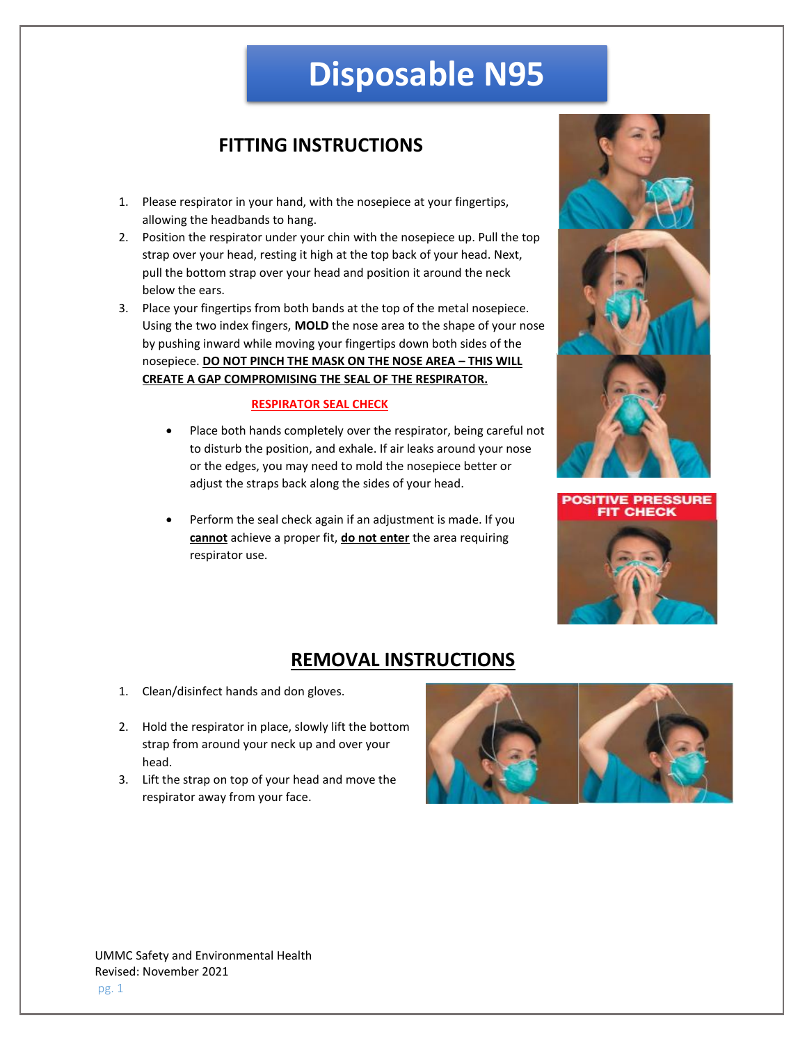# **Disposable N95**

## **FITTING INSTRUCTIONS**

- 1. Please respirator in your hand, with the nosepiece at your fingertips, allowing the headbands to hang.
- 2. Position the respirator under your chin with the nosepiece up. Pull the top strap over your head, resting it high at the top back of your head. Next, pull the bottom strap over your head and position it around the neck below the ears.
- 3. Place your fingertips from both bands at the top of the metal nosepiece. Using the two index fingers, **MOLD** the nose area to the shape of your nose by pushing inward while moving your fingertips down both sides of the nosepiece. **DO NOT PINCH THE MASK ON THE NOSE AREA – THIS WILL CREATE A GAP COMPROMISING THE SEAL OF THE RESPIRATOR.**

#### **RESPIRATOR SEAL CHECK**

- Place both hands completely over the respirator, being careful not to disturb the position, and exhale. If air leaks around your nose or the edges, you may need to mold the nosepiece better or adjust the straps back along the sides of your head.
- Perform the seal check again if an adjustment is made. If you **cannot** achieve a proper fit, **do not enter** the area requiring respirator use.





### **REMOVAL INSTRUCTIONS**

- 1. Clean/disinfect hands and don gloves.
- 2. Hold the respirator in place, slowly lift the bottom strap from around your neck up and over your head.
- 3. Lift the strap on top of your head and move the respirator away from your face.



UMMC Safety and Environmental Health Revised: November 2021 pg. 1